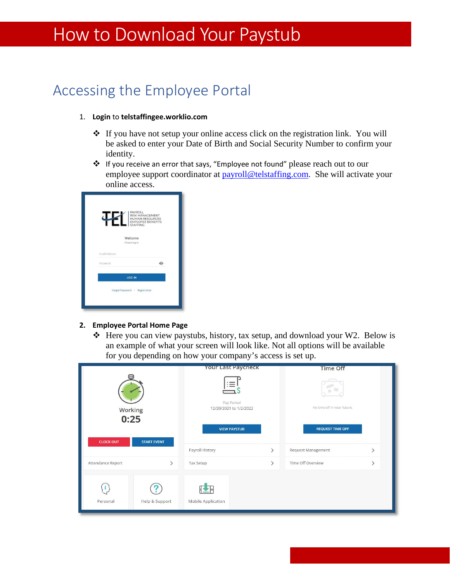# How to Download Your Paystub

## Accessing the Employee Portal

#### 1. **Login** to **telstaffingee.worklio.com**

- If you have not setup your online access click on the registration link. You will be asked to enter your Date of Birth and Social Security Number to confirm your identity.
- If you receive an error that says, "Employee not found" please reach out to our employee support coordinator at payroll@telstaffing.com. She will activate your online access.

| 4                    | <b>PAYROLL</b><br><b>RISK MANAGEMENT</b><br><b>HUMAN RESOURCES</b><br><b>EMPLOYEE BENEFITS</b><br><b>STAFFING</b> |
|----------------------|-------------------------------------------------------------------------------------------------------------------|
|                      | Welcome                                                                                                           |
|                      | Please log in                                                                                                     |
| <b>Email Address</b> |                                                                                                                   |
| Password             | $\mathcal{C}$                                                                                                     |
|                      | <b>LOG IN</b>                                                                                                     |
|                      | Forgot Password · Registration                                                                                    |

#### **2. Employee Portal Home Page**

 Here you can view paystubs, history, tax setup, and download your W2. Below is an example of what your screen will look like. Not all options will be available for you depending on how your company's access is set up.

|                        |                    | <b>Your Last Paycheck</b>                 |               | <b>Time Off</b>                               |               |
|------------------------|--------------------|-------------------------------------------|---------------|-----------------------------------------------|---------------|
| <b>Working</b><br>0:25 |                    | ≔<br>Pay Period<br>12/20/2021 to 1/2/2022 |               | No time off in near future.                   |               |
| <b>CLOCK OUT</b>       | <b>START EVENT</b> | <b>VIEW PAYSTUB</b><br>Payroll History    | $\rightarrow$ | <b>REQUEST TIME OFF</b><br>Request Management | $\rightarrow$ |
| Attendance Report      | $\rightarrow$      | Tax Setup                                 | $\rightarrow$ | Time Off Overview                             | $\mathcal{E}$ |
| Personal               | Help & Support     | Mobile Application                        |               |                                               |               |